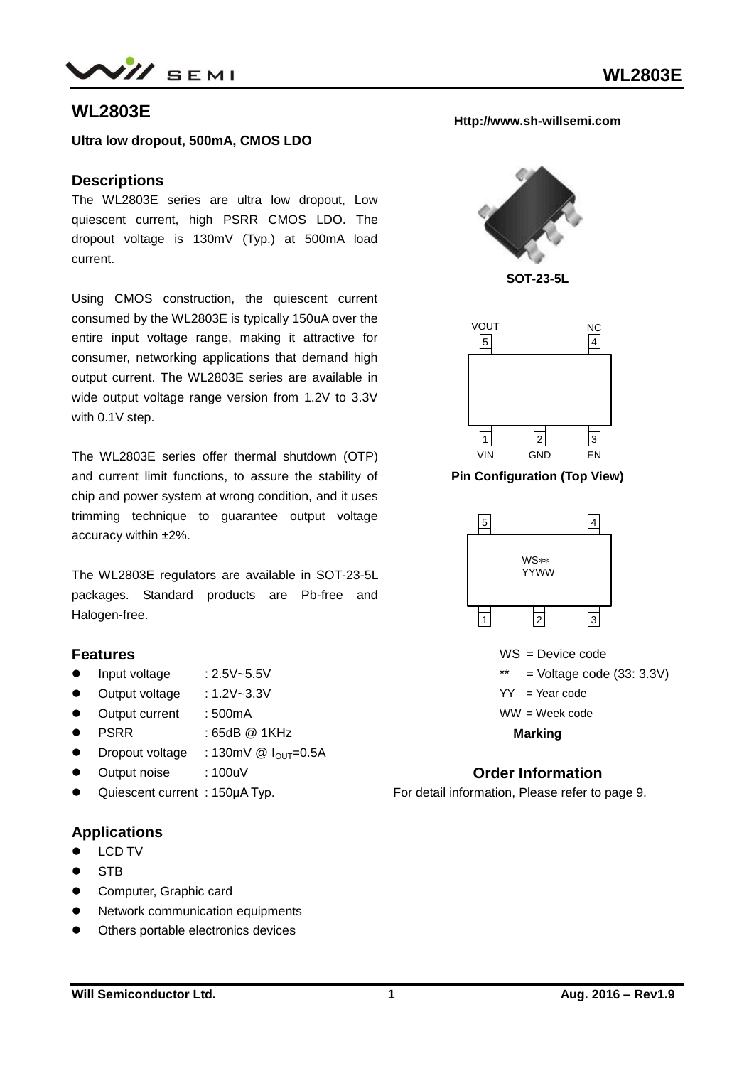

# **WL2803E**

**Ultra low dropout, 500mA, CMOS LDO**

#### **Descriptions**

The WL2803E series are ultra low dropout, Low quiescent current, high PSRR CMOS LDO. The dropout voltage is 130mV (Typ.) at 500mA load current.

Using CMOS construction, the quiescent current consumed by the WL2803E is typically 150uA over the entire input voltage range, making it attractive for consumer, networking applications that demand high output current. The WL2803E series are available in wide output voltage range version from 1.2V to 3.3V with 0.1V step.

The WL2803E series offer thermal shutdown (OTP) and current limit functions, to assure the stability of chip and power system at wrong condition, and it uses trimming technique to guarantee output voltage accuracy within ±2%.

The WL2803E regulators are available in SOT-23-5L packages. Standard products are Pb-free and Halogen-free.

#### **Features**

- $\bullet$  Input voltage : 2.5V~5.5V
- Output voltage : 1.2V~3.3V
- Output current : 500mA
- PSRR : 65dB @ 1KHz
- Dropout voltage : 130mV  $\textcircled{1}_{\text{OUT}}=0.5\text{A}$
- Output noise : 100uV
- Quiescent current : 150μA Typ.

## **Applications**

- **•** LCD TV
- **STB**
- **•** Computer, Graphic card
- Network communication equipments
- Others portable electronics devices

#### **Http://www.sh-willsemi.com**



**SOT-23-5L**



**Pin Configuration (Top View)**



WS = Device code  $=$  Voltage code (33: 3.3V)  $YY = Year code$ WW = Week code **Marking**

## **Order Information**

For detail information, Please refer to page 9.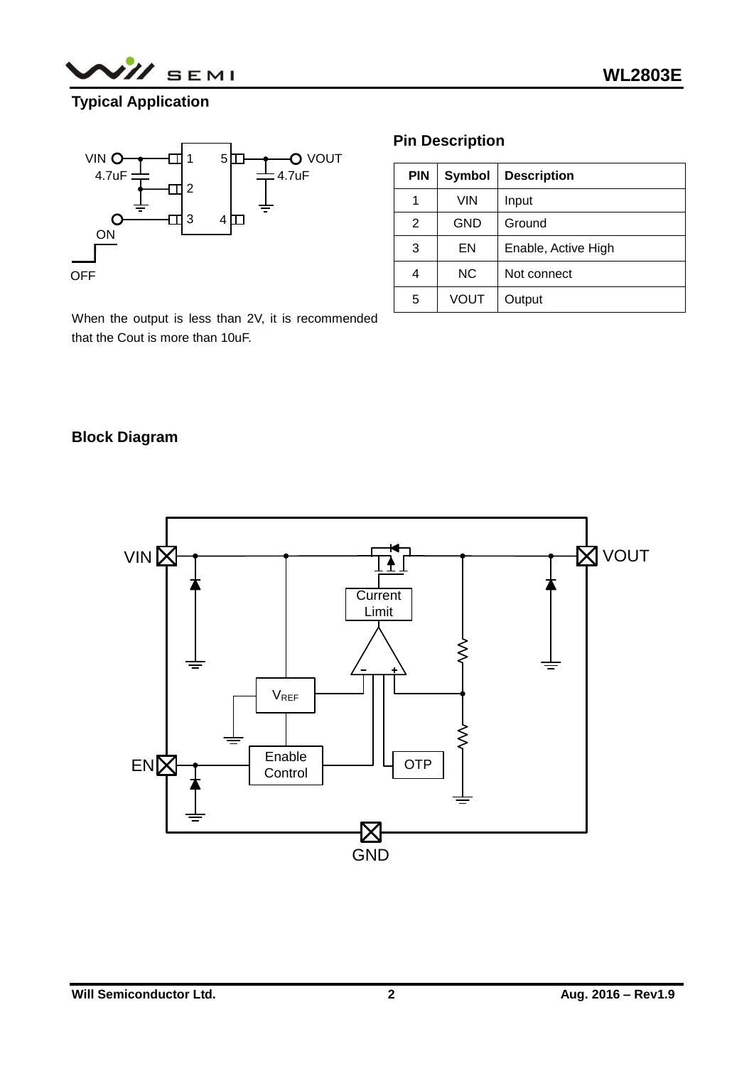

# **Typical Application**



# **Pin Description**

| <b>PIN</b> | <b>Symbol</b> | <b>Description</b>  |  |
|------------|---------------|---------------------|--|
| 1          | VIN           | Input               |  |
| 2          | <b>GND</b>    | Ground              |  |
| 3          | EN            | Enable, Active High |  |
| 4          | <b>NC</b>     | Not connect         |  |
| 5          | <b>VOUT</b>   | Output              |  |

When the output is less than 2V, it is recommended that the Cout is more than 10uF.

# **Block Diagram**

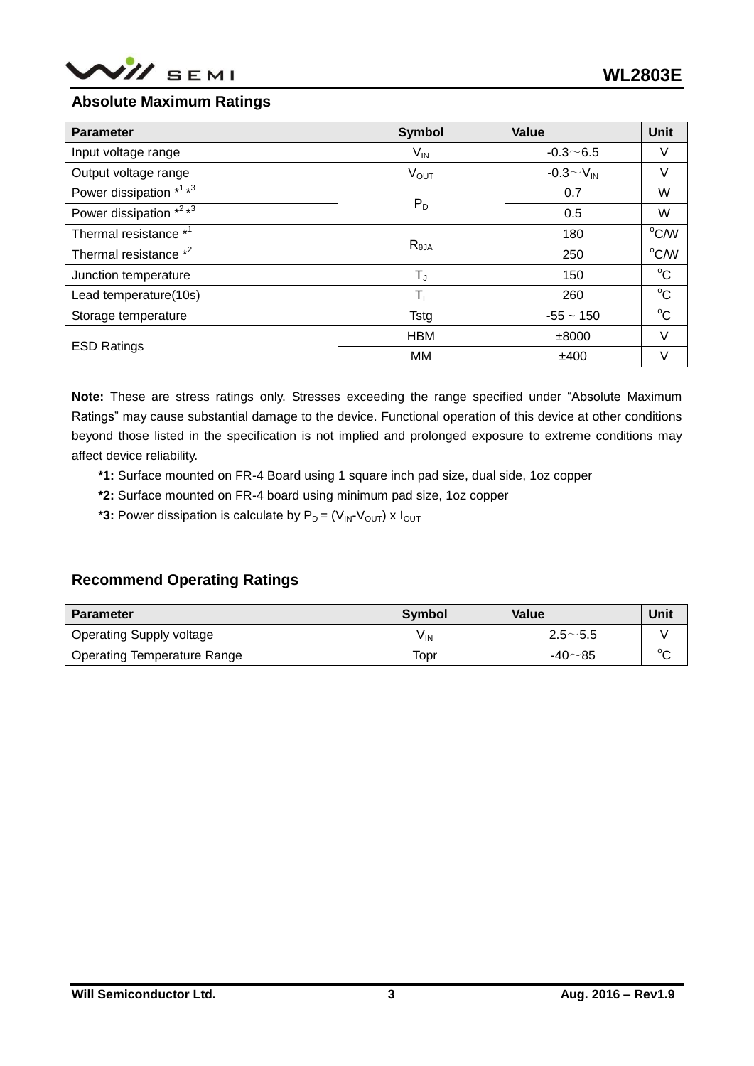

## **Absolute Maximum Ratings**

| <b>Parameter</b>                                | <b>Symbol</b>                          | Value              | Unit           |
|-------------------------------------------------|----------------------------------------|--------------------|----------------|
| Input voltage range                             | $V_{\text{IN}}$                        | $-0.3 - 6.5$       | V              |
| Output voltage range                            | $V_{\text{OUT}}$                       | $-0.3 \sim V_{IN}$ | V              |
| Power dissipation * <sup>1</sup> * <sup>3</sup> |                                        | 0.7                | W              |
| Power dissipation *2 *3                         | $P_D$<br>$R_{\theta$ JA<br>$T_{\rm J}$ | 0.5                | W              |
| Thermal resistance * <sup>1</sup>               |                                        | 180                | $^{\circ}$ C/W |
| Thermal resistance * <sup>2</sup>               |                                        | 250                | °C/W           |
| Junction temperature                            |                                        | 150                | $^{\circ}C$    |
| Lead temperature(10s)                           | $T_{L}$                                | 260                | $^{\circ}C$    |
| Storage temperature                             | <b>Tstg</b>                            | $-55 - 150$        | $^{\circ}C$    |
| <b>ESD Ratings</b>                              | <b>HBM</b>                             | ±8000              | $\vee$         |
|                                                 | МM                                     | ±400               | V              |

**Note:** These are stress ratings only. Stresses exceeding the range specified under "Absolute Maximum Ratings" may cause substantial damage to the device. Functional operation of this device at other conditions beyond those listed in the specification is not implied and prolonged exposure to extreme conditions may affect device reliability.

- **\*1:** Surface mounted on FR-4 Board using 1 square inch pad size, dual side, 1oz copper
- **\*2:** Surface mounted on FR-4 board using minimum pad size, 1oz copper
- \*3: Power dissipation is calculate by  $P_D = (V_{IN} \cdot V_{OUT}) \times I_{OUT}$

## **Recommend Operating Ratings**

| <b>Parameter</b>                   | <b>Symbol</b> | Value                                           | Unit   |
|------------------------------------|---------------|-------------------------------------------------|--------|
| <b>Operating Supply voltage</b>    | V IN          | $2.5 - 5.5$                                     |        |
| <b>Operating Temperature Range</b> | Topr          | $-40\negthinspace\negthinspace\negthinspace 85$ | $\sim$ |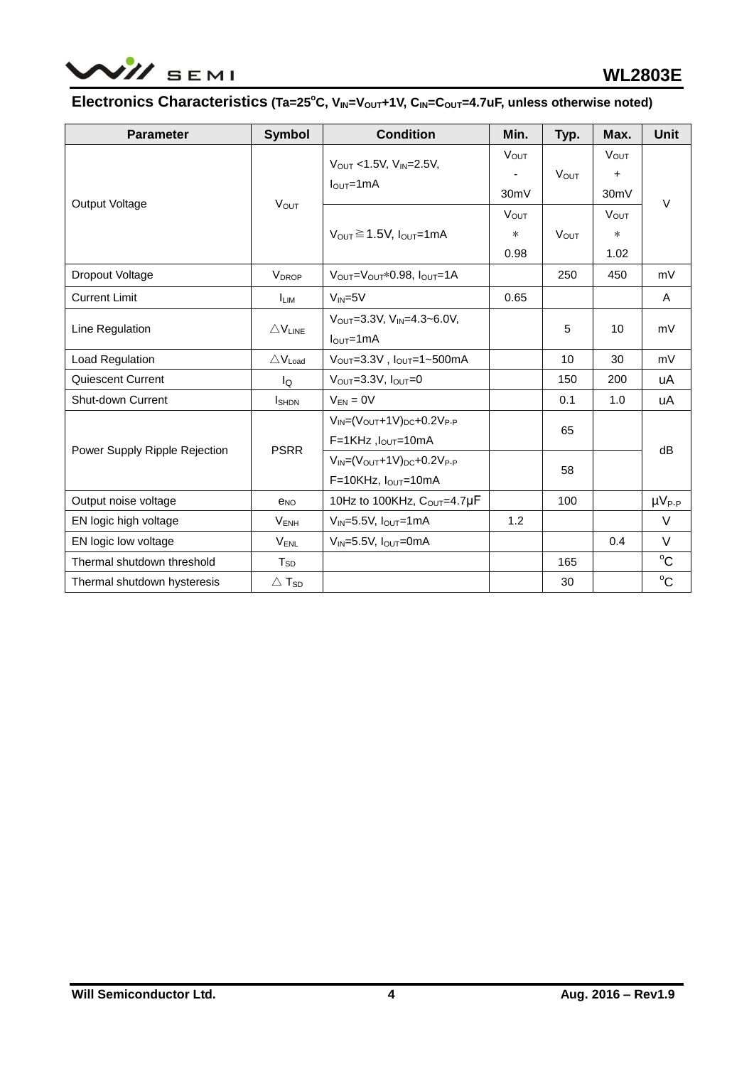

# **Electronics Characteristics** (Ta=25°C, V<sub>IN</sub>=V<sub>OUT</sub>+1V, C<sub>IN</sub>=C<sub>OUT</sub>=4.7uF, unless otherwise noted)

| <b>Parameter</b>              | <b>Symbol</b>               | <b>Condition</b>                                                         | Min.                          | Typ.        | Max.                                | Unit          |
|-------------------------------|-----------------------------|--------------------------------------------------------------------------|-------------------------------|-------------|-------------------------------------|---------------|
|                               | <b>VOUT</b>                 | $V_{OUT}$ < 1.5V, $V_{IN}$ = 2.5V,<br>$IOUT=1mA$                         | $V_{OUT}$<br>30mV             | <b>VOUT</b> | $V_{OUT}$<br>+<br>30 <sub>m</sub> V |               |
| Output Voltage                |                             | $V_{OUT} \ge 1.5V$ , $I_{OUT}=1mA$                                       | <b>VOUT</b><br>$\ast$<br>0.98 | <b>VOUT</b> | <b>VOUT</b><br>$\ast$<br>1.02       | $\vee$        |
| Dropout Voltage               | <b>V</b> <sub>DROP</sub>    | $V_{\text{OUT}} = V_{\text{OUT}} * 0.98$ . $I_{\text{OUT}} = 1$ A        |                               | 250         | 450                                 | mV            |
| <b>Current Limit</b>          | <b>ILIM</b>                 | $V_{IN} = 5V$                                                            | 0.65                          |             |                                     | A             |
| Line Regulation               | $\triangle$ VLINE           | $V_{\text{OUT}} = 3.3V$ , $V_{\text{IN}} = 4.3 - 6.0V$ ,<br>$IOUT=1mA$   |                               | 5           | 10                                  | mV            |
| Load Regulation               | $\triangle V_{load}$        | $V_{OUT} = 3.3V$ , $I_{OUT} = 1 \sim 500$ mA                             |                               | 10          | 30                                  | mV            |
| Quiescent Current             | lo                          | $V_{\text{OUT}}=3.3V, I_{\text{OUT}}=0$                                  |                               | 150         | 200                                 | uA            |
| <b>Shut-down Current</b>      | $I_{\text{SHDN}}$           | $V_{EN} = 0V$                                                            |                               | 0.1         | 1.0                                 | uA            |
|                               | <b>PSRR</b>                 | $V_{IN} = (V_{OUT} + 1V)_{DC} + 0.2V_{P-P}$<br>$F=1KHz$ , $I_{OUT}=10mA$ |                               | 65          |                                     |               |
| Power Supply Ripple Rejection |                             | $V_{IN} = (V_{OUT} + 1V)_{DC} + 0.2V_{P-P}$<br>$F=10KHz$ , $IOUT=10mA$   |                               | 58          | dB                                  |               |
| Output noise voltage          | $e_{NO}$                    | 10Hz to 100KHz, $C_{OUT} = 4.7 \mu F$                                    |                               | 100         |                                     | $\mu V_{P-P}$ |
| EN logic high voltage         | $V_{ENH}$                   | $V_{IN}$ =5.5V, $I_{OUT}$ =1mA                                           | 1.2                           |             |                                     | V             |
| EN logic low voltage          | $V_{\text{ENL}}$            | $V_{IN} = 5.5V$ , $I_{OUT} = 0mA$                                        |                               |             | 0.4                                 | $\vee$        |
| Thermal shutdown threshold    | $T_{SD}$                    |                                                                          |                               | 165         |                                     | $^{\circ}C$   |
| Thermal shutdown hysteresis   | $\triangle$ T <sub>SD</sub> |                                                                          |                               | 30          |                                     | $^{\circ}C$   |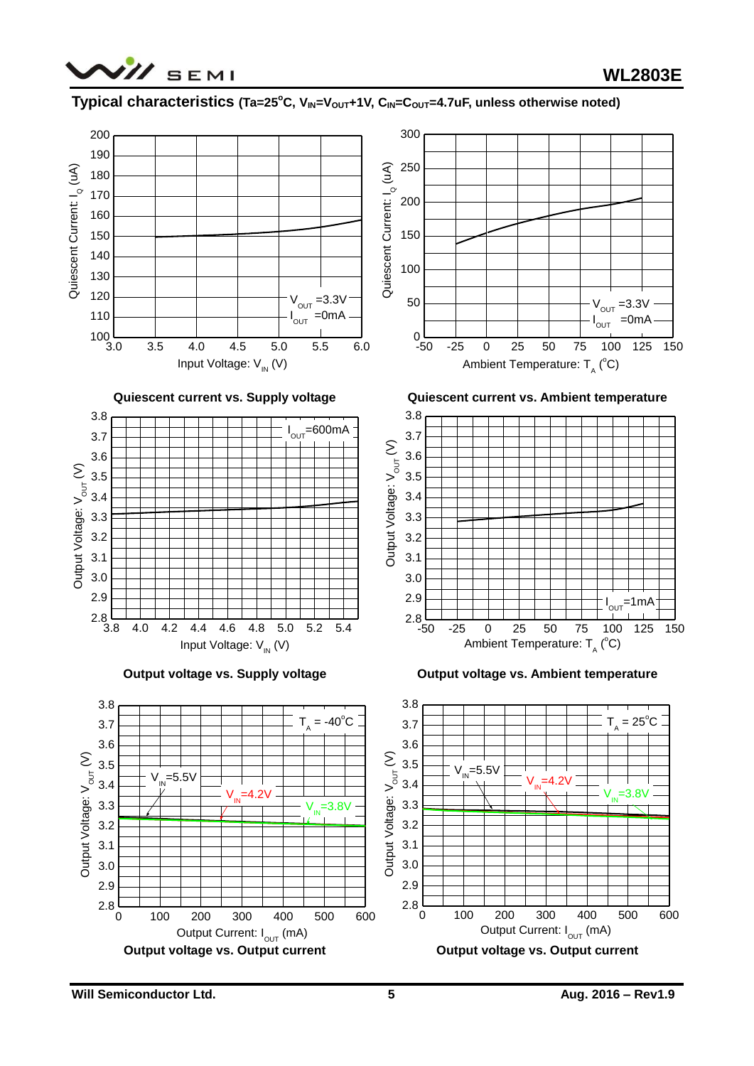

### **Typical characteristics (Ta=25<sup>°</sup>C, V<sub>IN</sub>=V<sub>OUT</sub>+1V, C<sub>IN</sub>=C<sub>OUT</sub>=4.7uF, unless otherwise noted)**

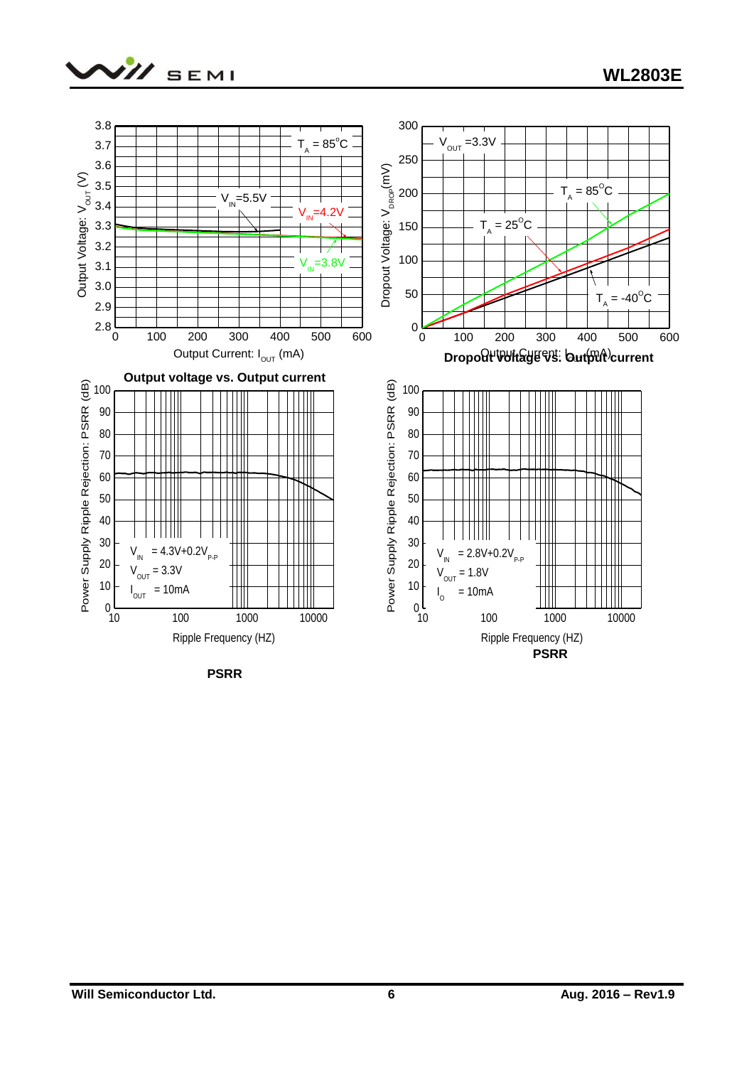



**PSRR**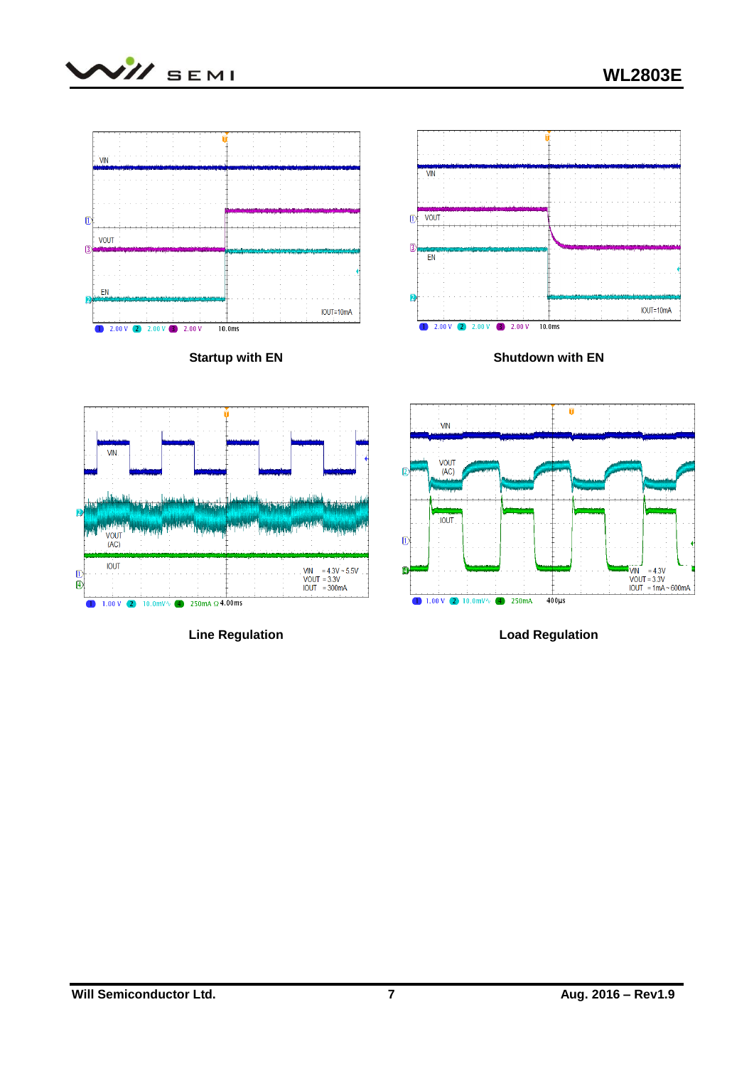



**Line Regulation**

**Load Regulation**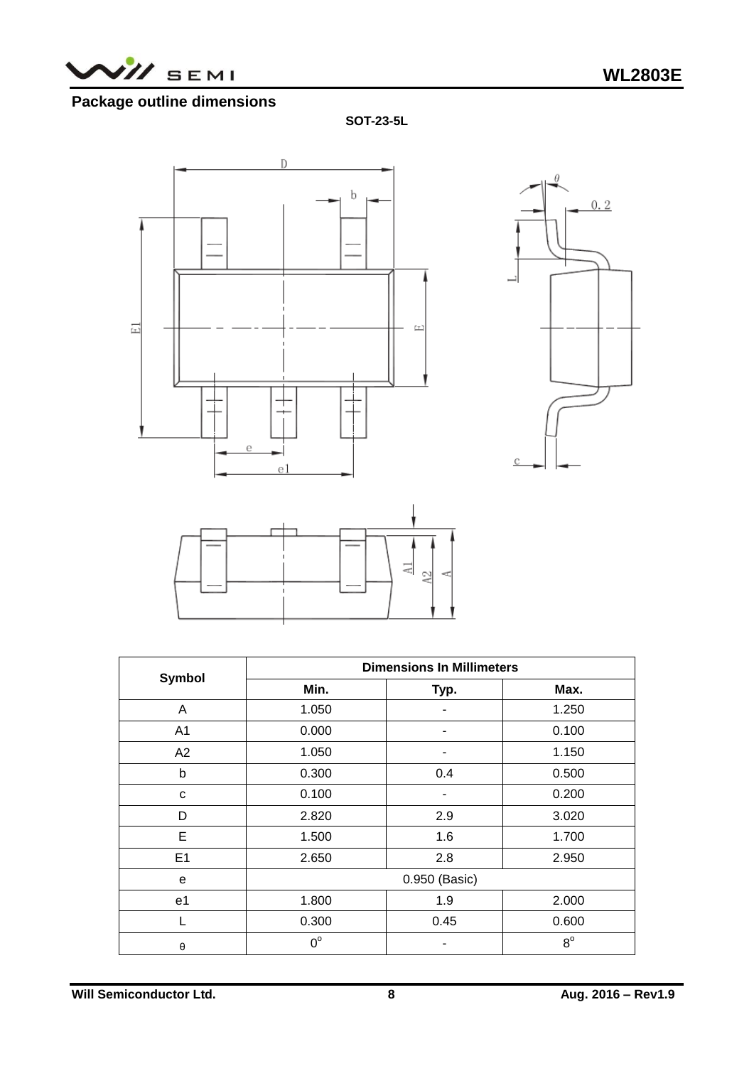

# **Package outline dimensions**

**SOT-23-5L**







|                | <b>Dimensions In Millimeters</b> |      |             |  |  |
|----------------|----------------------------------|------|-------------|--|--|
| <b>Symbol</b>  | Min.                             | Typ. | Max.        |  |  |
| A              | 1.050                            |      | 1.250       |  |  |
| A <sub>1</sub> | 0.000                            | ۰    | 0.100       |  |  |
| A2             | 1.050                            |      | 1.150       |  |  |
| b              | 0.300                            | 0.4  | 0.500       |  |  |
| C              | 0.100                            | ۰    | 0.200       |  |  |
| D              | 2.820                            | 2.9  | 3.020       |  |  |
| E              | 1.500                            | 1.6  | 1.700       |  |  |
| E1             | 2.650                            | 2.8  | 2.950       |  |  |
| e              | 0.950 (Basic)                    |      |             |  |  |
| e <sub>1</sub> | 1.800                            | 1.9  | 2.000       |  |  |
| L              | 0.300                            | 0.45 | 0.600       |  |  |
| θ              | $0^{\circ}$                      |      | $8^{\circ}$ |  |  |